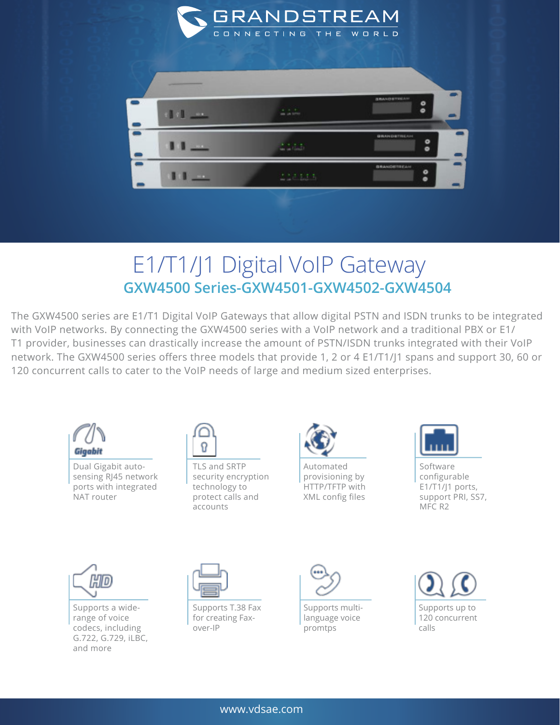

## E1/T1/J1 Digital VoIP Gateway **GXW4500 Series-GXW4501-GXW4502-GXW4504**

The GXW4500 series are E1/T1 Digital VoIP Gateways that allow digital PSTN and ISDN trunks to be integrated with VoIP networks. By connecting the GXW4500 series with a VoIP network and a traditional PBX or E1/ T1 provider, businesses can drastically increase the amount of PSTN/ISDN trunks integrated with their VoIP network. The GXW4500 series offers three models that provide 1, 2 or 4 E1/T1/J1 spans and support 30, 60 or 120 concurrent calls to cater to the VoIP needs of large and medium sized enterprises.



Dual Gigabit autosensing RJ45 network ports with integrated NAT router



TLS and SRTP security encryption technology to protect calls and accounts



Automated provisioning by HTTP/TFTP with XML config files

Software configurable E1/T1/J1 ports, support PRI, SS7, MFC R2



Supports a widerange of voice codecs, including G.722, G.729, iLBC, and more



Supports T.38 Fax for creating Faxover-IP



Supports multilanguage voice promtps